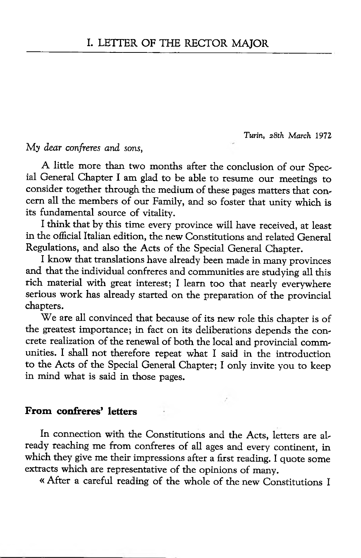*Turin, 2 8th March* 1972

My *dear confreres and sons,*

A little more than two months after the conclusion of our Special General Chapter I am glad to be able to resume our meetings to consider together through the medium of these pages matters that concern all the members of our Family, and so foster that unity which is its fundamental source of vitality.

I think that by this time every province will have received, at least in the official Italian edition, the new Constitutions and related General Regulations, and also the Acts of the Special General Chapter.

I know that translations have already been made in many provinces and that the individual confreres and communities are studying all this rich material with great interest; I learn too that nearly everywhere serious work has already started on the preparation of the provincial chapters.

We are all convinced that because of its new role this chapter is of the greatest importance; in fact on its deliberations depends the concrete realization of the renewal of both the local and provincial communities. I shall not therefore repeat what I said in the introduction to the Acts of the Special General Chapter; I only invite you to keep in mind what is said in those pages.

### From confreres' letters

In connection with the Constitutions and the Acts, letters are already reaching me from confreres of all ages and every continent, in which they give me their impressions after a first reading. I quote some extracts which are representative of the opinions of many.

« After a careful reading of the whole of the new Constitutions I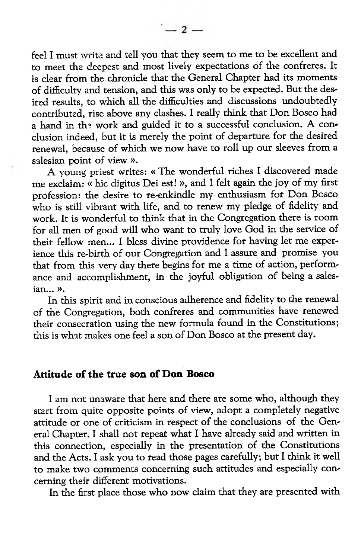feel I must write and tell you that they seem to me to be excellent and to meet the deepest and most lively expectations of the confreres. It is clear from the chronicle that the General Chapter had its moments of difficulty and tension, and this was only to be expected. But the desired results, to which all the difficulties and discussions undoubtedly contributed, rise above any clashes. I really think that Don Bosco had a hand in the work and guided it to a successful conclusion. A conclusion indeed, but it is merely the point of departure for the desired renewal, because of which we now have to roll up our sleeves from a salesian point of view ».

A young priest writes: « The wonderful riches I discovered made me exclaim: « hic digitus Dei est! », and I felt again the joy of my first profession: the desire to re-enkindle my enthusiasm for Don Bosco who is still vibrant with life, and to renew my pledge of fidelity and work. It is wonderful to think that in the Congregation there is room for all men of good will who want to truly love God in the service of their fellow men... I bless divine providence for having let me experience diis re-birth of our Congregation and I assure and promise you that from this very day there begins for me a time of action, performance and accomplishment, in the joyful obligation of being a salesian... ».

In this spirit and in conscious adherence and fidelity to the renewal of the Congregation, both confreres and communities have renewed their consecration using the new formula found in the Constitutions; this is what makes one feel a son of Don Bosco at the present day.

#### Attitude of the true son of Don Bosco

I am not unaware that here and there are some who, although they start from quite opposite points of view, adopt a completely negative attitude or one of criticism in respect of the conclusions of the General Chapter. I shall not repeat what I have already said and written in this connection, especially in the presentation of the Constitutions and the Acts. I ask you to read those pages carefully; but I think it well to make two comments concerning such attitudes and especially concerning their different motivations.

In the first place those who now claim that they are presented with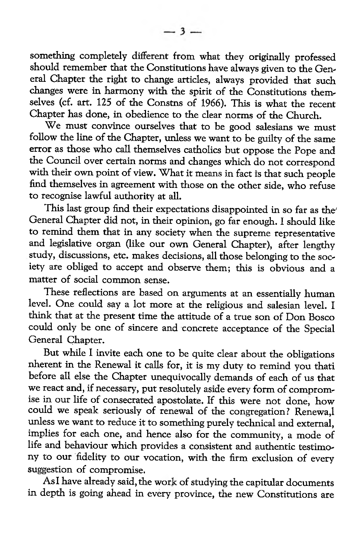something completely different from what they originally professed should remember that the Constitutions have always given to the General Chapter the right to change articles, always provided that such changes were in harmony with the spirit of the Constitutions themselves (cf. art. 125 of the Constns of 1966). This is what the recent Chapter has done, in obedience to the clear norms of the Church.

We must convince ourselves that to be good salesians we must follow the line of the Chapter, unless we want to be guilty of the same error as those who call themselves catholics but oppose die Pope and the Council over certain norms and changes which do not correspond with their own point of view. What it means in fact is that such people find themselves in agreement with those on the other side, who refuse to recognise lawful authority at all.

This last group find their expectations disappointed in so far as the' General Chapter did not, in their opinion, go far enough. I should like to remind them that in any society when the supreme representative and legislative organ (like our own General Chapter), after lengthy study, discussions, etc. makes decisions, all those belonging to the society are obliged to accept and observe them; this is obvious and a matter of social common sense.

These reflections are based on arguments at an essentially human level. One could say a lot more at the religious and salesian level. I think that at the present time the attitude of a true son of Don Bosco could only be one of sincere and concrete acceptance of the Special General Chapter.

But while I invite each one to be quite clear about the obligations nherent in the Renewal it calls for, it is my duty to remind you thati before all else the Chapter unequivocally demands of each of us that we react and, if necessary, put resolutely aside every form of compromise in our life of consecrated apostolate. If this were not done, how could we speak seriously of renewal of the congregation? Renewa,l unless we want to reduce it to something purely technical and external, implies for each one, and hence also for the community, a mode of life and behaviour which provides a consistent and authentic testimony to our fidelity to our vocation, with the firm exclusion of every suggestion of compromise.

As I have already said, the work of studying the capitular documents in depth is going ahead in every province, the new Constitutions are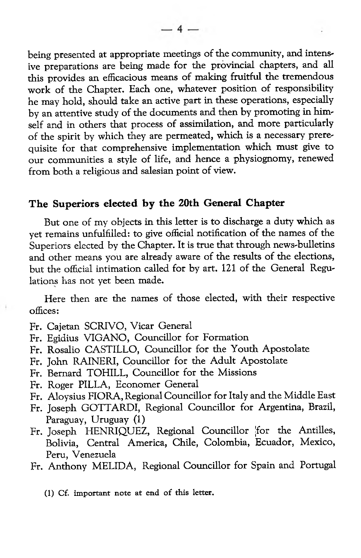being presented at appropriate meetings of the community, and intensive preparations are being made for the provincial chapters, and all this provides an efficacious means of making fruitful the tremendous work of the Chapter. Each one, whatever position of responsibility he may hold, should take an active part in these operations, especially by an attentive study of the documents and then by promoting in himself and in others that process of assimilation, and more particularly of the spirit by which they are permeated, which is a necessary prerequisite for that comprehensive implementation which must give to our communities a style of life, and hence a physiognomy, renewed from both a religious and salesian point of view.

#### The Superiors elected by the 20th General Chapter

But one of my objects in this letter is to discharge a duty which as yet remains unfulfilled: to give official notification of the names of the Superiors elected by the Chapter. It is true that through news-bulletins and other means you are already aware of the results of the elections, but the official intimation called for by art. 121 of the General Regulations has not yet been made.

Here then are the names of those elected, with their respective offices:

- Fr. Cajetan SCRIVO, Vicar General
- Fr. Egidius VIGANO, Councillor for Formation
- Fr. Rosalio CASTILLO, Councillor for the Youth Apostolate
- Fr. John RAINERI, Councillor for the Adult Apostolate
- Fr. Bernard TOHILL, Councillor for the Missions
- Fr. Roger PILLA, Economer General
- Fr. Aloysius FIORA, Regional Councillor for Italy and the Middle East
- Fr. Joseph GOTTARDI, Regional Councillor for Argentina, Brazil, Paraguay, Uruguay (1)
- Fr. Joseph HENRIQUEZ, Regional Councillor jfor the Antilles, Bolivia, Central America, Chile, Colombia, Ecuador, Mexico, Peru, Venezuela
- Fr. Anthony MELIDA, Regional Councillor for Spain and Portugal
	- $(1)$  Cf. important note at end of this letter.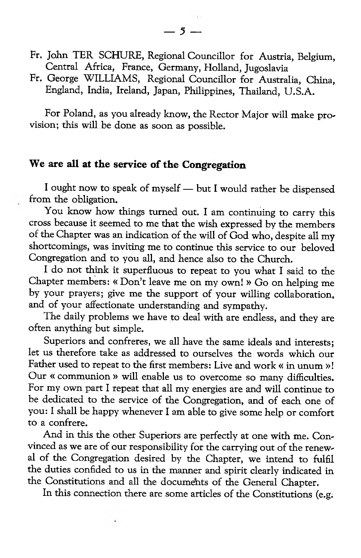- Fr. John TER SCHURE, Regional Councillor for Austria, Belgium, Central Africa, France, Germany, Holland, Jugoslavia
- Fr. George WILLIAMS, Regional Councillor for Australia, China, England, India, Ireland, Japan, Philippines, Thailand, U.S.A.

For Poland, as you already know, the Rector Major will make provision; this will be done as soon as possible.

## We are all at the service of the Congregation

I ought now to speak of myself — but I would rather be dispensed from the obligation.

You know how things turned out. I am continuing to carry this cross because it seemed to me that the wish expressed by the members of the Chapter was an indication of the will of God who, despite all my shortcomings, was inviting me to continue this service to our beloved Congregation and to you all, and hence also to the Church.

I do not think it superfluous to repeat to you what I said to the Chapter members: « Don't leave me on my own! » Go on helping me by your prayers; give me the support of your willing collaboration, and of your affectionate understanding and sympathy.

The daily problems we have to deal with are endless, and they are often anything but simple.

Superiors and confreres, we all have the same ideals and interests; let us therefore take as addressed to ourselves the words which our Father used to repeat to the first members: Live and work « in unum »! Our « communion » will enable us to overcome so many difficulties. For my own part I repeat that all my energies are and will continue to be dedicated to the service of the Congregation, and of each one of you: I shall be happy whenever I am able to give some help or comfort to a confrere.

And in this the other Superiors are perfectly at one with me. Convinced as we are of our responsibility for the carrying out of the renewal of the Congregation desired by the Chapter, we intend to fulfil the duties confided to us in the manner and spirit clearly indicated in the Constitutions and all the documents of the General Chapter.

In this connection there are some articles of the Constitutions (e.g.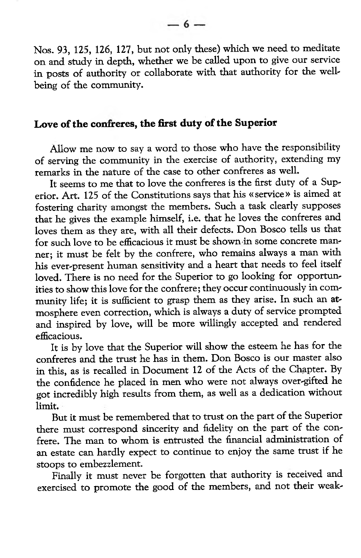Nos. 93, 125, 126, 127, but not only these) which we need to meditate on and study in depth, whether we be called upon to give our service in posts of authority or collaborate with that authority for the wellbeing of the community.

### Love of the confreres, the first duty of the Superior

Allow me now to say a word to those who have the responsibility of serving the community in the exercise of authority, extending my remarks in the nature of the case to other confreres as well.

It seems to me that to love the confreres is the first duty of a Superior. Art. 125 of the Constitutions says that his « service» is aimed at fostering charity amongst the members. Such a task clearly supposes that he gives the example himself, i.e. that he loves the confreres and loves them as they are, with all their defects. Don Bosco tells us that for such love to be efficacious it must be shown in some concrete manner; it must be felt by the confrere, who remains always a man with his ever-present human sensitivity and a heart that needs to feel itself loved. There is no need for the Superior to go looking for opportunities to show this love for the confrere; they occur continuously in community life; it is sufficient to grasp them as they arise. In such an atmosphere even correction, which is always a duty of service prompted and inspired by love, will be more willingly accepted and rendered efficacious.

It is by love that the Superior will show the esteem he has for the confreres and the trust he has in them. Don Bosco is our master also in this, as is recalled in Document 12 of the Acts of the Chapter. By the confidence he placed in men who were not always over-gifted he got incredibly high results from them, as well as a dedication without limit.

But it must be remembered that to trust on the part of the Superior there must correspond sincerity and fidelity on the part of the confrere. The man to whom is entrusted the financial administration of an estate can hardly expect to continue to enjoy the same trust if he stoops to embezzlement.

Finally it must never be forgotten that authority is received and exercised to promote the good of the members, and not their weak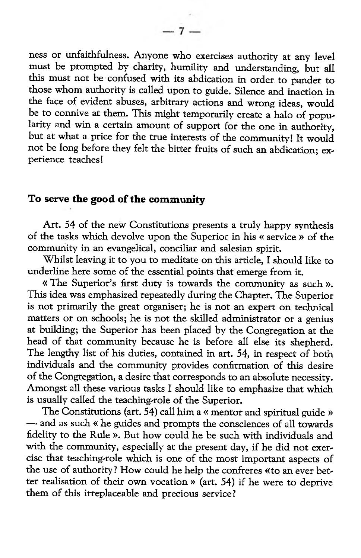ness or unfaithfulness. Anyone who exercises authority at any level must be prompted by charity, humility and understanding, but all this must not be confused with its abdication in order to pander to those whom authority is called upon to guide. Silence and inaction in the face of evident abuses, arbitrary actions and wrong ideas, would be to connive at them. This might temporarily create a halo of popularity and win a certain amount of support for the one in authority, but at what a price for the true interests of the community! It would not be long before they felt the bitter fruits of such an abdication; experience teaches!

# To serve the good of the community

Art. 54 of the new Constitutions presents a truly happy synthesis of the tasks which devolve upon the Superior in his « service » of the community in an evangelical, conciliar and salesian spirit.

Whilst leaving it to you to meditate on this article. I should like to underline here some of the essential points that emerge from it.

« The Superior's first duty is towards the community as such ». This idea was emphasized repeatedly during the Chapter. The Superior is not primarily the great organiser; he is not an expert on technical matters or on schools; he is not the skilled administrator or a genius at building; the Superior has been placed by the Congregation at the head of that community because he is before all else its shepherd. The lengthy list of his duties, contained in art. 54, in respect of both individuals and the community provides confirmation of this desire of the Congregation, a desire that corresponds to an absolute necessity. Amongst all these various tasks I should like to emphasize that which is usually called the teaching-role of the Superior.

The Constitutions (art. 54) call him a « mentor and spiritual guide » — and as such « he guides and prompts the consciences of all towards fidelity to the Rule ». But how could he be such with individuals and with the community, especially at the present day, if he did not exercise that teaching-role which is one of the most important aspects of the use of authority? How could he help the confreres «to an ever better realisation of their own vocation » (art. 54) if he were to deprive them of this irreplaceable and precious service?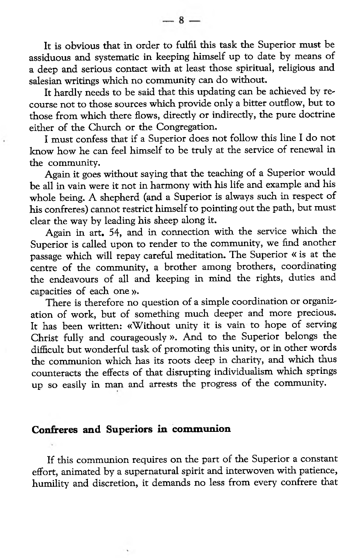It is obvious that in order to fulfil this task the Superior must be assiduous and systematic in keeping himself up to date by means of a deep and serious contact with at least those spiritual, religious and salesian writings which no community can do without.

It hardly needs to be said that this updating can be achieved by recourse not to those sources which provide only a bitter outflow, but to those from which there flows, directly or indirectly, the pure doctrine either of the Church or the Congregation.

I must confess that if a Superior does not follow this line I do not know how he can feel himself to be truly at the service of renewal in the community.

Again it goes without saying that the teaching of a Superior would be all in vain were it not in harmony with his life and example and his whole being. A shepherd (and a Superior is always such in respect of his confreres) cannot restrict himself to pointing out the path, but must clear the way by leading his sheep along it.

Again in art. 54, and in connection with the service which the Superior is called upon to render to the community, we find another passage which will repay careful meditation. The Superior « is at the centre of the community, a brother among brothers, coordinating the endeavours of all and keeping in mind the rights, duties and capacities of each one ».

There is therefore no question of a simple coordination or organization of work, but of something much deeper and more precious. It has been written: «Without unity it is vain to hope of serving Christ fully and courageously ». And to the Superior belongs the difficult but wonderful task of promoting this unity, or in other words the communion which has its roots deep in charity, and which thus counteracts the effects of that disrupting individualism which springs up so easily in man and arrests the progress of the community.

#### Confreres and Superiors in communion

If this communion requires on the part of the Superior a constant effort, animated by a supernatural spirit and interwoven with patience, humility and discretion, it demands no less from every confrere that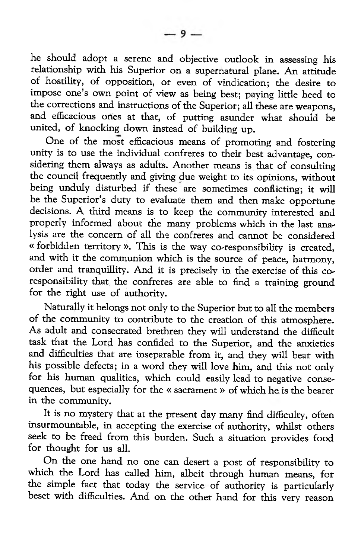he should adopt a serene and objective outlook in assessing his relationship with his Superior on a supernatural plane. An attitude of hostility, of opposition, or even of vindication; the desire to impose one's own point of view as being best; paying little heed to the corrections and instructions of the Superior; all these are weapons, and efficacious ones at that, of putting asunder what should be united, of knocking down instead of building up.

One of the most efficacious means of promoting and fostering unity is to use the individual confreres to their best advantage, considering them always as adults. Another means is that of consulting the council frequently and giving due weight to its opinions, without being unduly disturbed if these are sometimes conflicting; it will be the Superior's duty to evaluate them and then make opportune decisions. A third means is to keep the community interested and properly informed about the many problems which in the last analysis are the concern of all the confreres and cannot be considered « forbidden territory ». This is the way co-responsibility is created, and with it the communion which is the source of peace, harmony, order and tranquillity. And it is precisely in the exercise of this coresponsibility that the confreres are able to find a training ground for the right use of authority.

Naturally it belongs not only to the Superior but to all the members of the community to contribute to the creation of this atmosphere. As adult and consecrated brethren they will understand the difficult task that the Lord has confided to the Superior, and the anxieties and difficulties that are inseparable from it, and they will bear with his possible defects; in a word they will love him, and this not only for his human qualities, which could easily lead to negative consequences, but especially for the « sacrament » of which he is the bearer in the community.

It is no mystery that at the present day many find difficulty, often insurmountable, in accepting the exercise of authority, whilst others seek to be freed from this burden. Such a situation provides food for thought for us all.

On the one hand no one can desert a post of responsibility to which the Lord has called him, albeit through human means, for the simple fact that today the service of authority is particularly beset with difficulties. And on the other hand for this very reason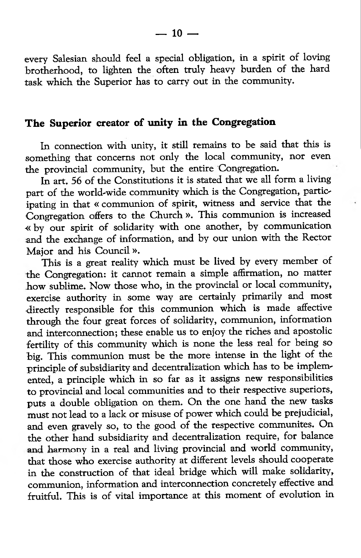every Salesian should feel a special obligation, in a spirit of loving brotherhood, to lighten the often truly heavy burden of the hard task which the Superior has to carry out in the community.

## The Superior creator of unity in the Congregation

In connection with unity, it still remains to be said that this is something that concerns not only the local community, nor even the provincial community, but the entire Congregation.

In art. 56 of the Constitutions it is stated that we all form a living part of the world-wide community which is the Congregation, participating in that « communion of spirit, witness and service that the Congregation offers to the Church ». This communion is increased « by our spirit of solidarity with one another, by communication and the exchange of information, and by our union with the Rector Major and his Council ».

This is a great reality which must be lived by every member of the Congregation: it cannot remain a simple affirmation, no matter how sublime. Now those who, in the provincial or local community, exercise authority in some way are certainly primarily and most •directly responsible for this communion which is made affective through the four great forces of solidarity, communion, information and interconnection; these enable us to enjoy the riches and apostolic fertility of this community which is none the less real for being so big. This communion must be the more intense in the light of the principle of subsidiarity and decentralization which has to be implemented, a principle which in so far as it assigns new responsibilities to provincial and local communities and to their respective superiors, puts a double obligation on them. On the one hand the new tasks must not lead to a lack or misuse of power which could be prejudicial, and even gravely so, to the good of the respective communites. On the other hand subsidiarity and decentralization require, for balance and harmony in a real and living provincial and world community, that those who exercise authority at different levels should cooperate in the construction of that ideal bridge which will make solidarity, communion, information and interconnection concretely effective and fruitful. This is of vital importance at this moment of evolution in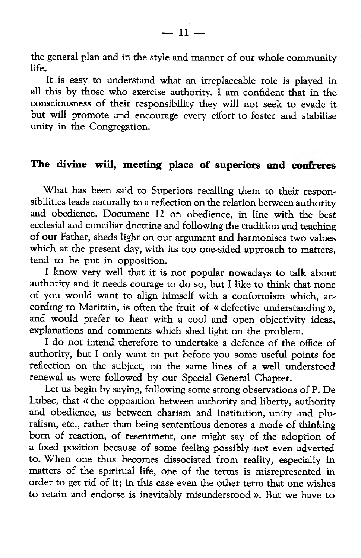the general plan and in the style and manner of our whole community life.

It is easy to understand what an irreplaceable role is played in all this by those who exercise authority. I am confident that in the consciousness of their responsibility they will not seek to evade it but will promote and encourage every effort to foster and stabilise unity in the Congregation.

## The divine will, meeting place of superiors and confreres

What has been said to Superiors recalling them to their responsibilities leads naturally to a reflection on the relation between authority and obedience. Document 12 on obedience, in line with the best ecclesial and conciliar doctrine and following the tradition and teaching of our Father, sheds light on our argument and harmonises two values which at the present day, with its too one-sided approach to matters, tend to be put in opposition.

I know very well that it is not popular nowadays to talk about authority and it needs courage to do so, but I like to think that none of you would want to align himself with a conformism which, according to Maritain, is often the fruit of « defective understanding », and would prefer to hear with a cool and open objectivity ideas, explanations and comments which shed light on the problem.

I do not intend therefore to undertake a defence of the office of authority, but I only want to put before you some useful points for reflection on the subject, on the same lines of a well understood renewal as were followed by our Special General Chapter.

Let us begin by saying, following some strong observations of P. De Lubac, that « the opposition between authority and liberty, authority and obedience, as between charism and institution, unity and pluralism, etc., rather than being sententious denotes a mode of thinking bom of reaction, of resentment, one might say of the adoption of a fixed position because of some feeling possibly not even adverted to. When one thus becomes dissociated from reality, especially in matters of the spiritual life, one of the terms is misrepresented in order to get rid of it; in this case even the other term that one wishes to retain and endorse is inevitably misunderstood ». But we have to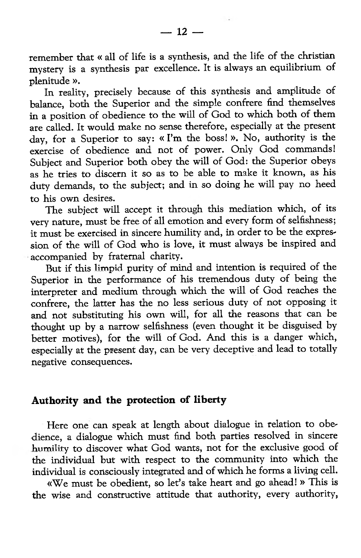remember that « all of life is a synthesis, and the life of the Christian mystery is a synthesis par excellence. It is always an equilibrium of plenitude ».

In reality, precisely because of this synthesis and amplitude of balance, both the Superior and the simple confrere find themselves in a position of obedience to the will of God to which both of them are called. It would make no sense therefore, especially at the present day, for a Superior to say: « I'm the boss! ». No, authority is the exercise of obedience and not of power. Only God commands! Subject and Superior both obey the will of God: the Superior obeys as he tries to discern it so as to be able to make it known, as his duty demands, to the subject; and in so doing he will pay no heed to his own desires.

The subject will accept it through this mediation which, of its very nature, must be free of all emotion and every form of selfishness; it must be exercised in sincere humility and, in order to be the expression of the will of God who is love, it must always be inspired and accompanied by fraternal charity.

But if this limpid purity of mind and intention is required of the Superior in the performance of his tremendous duty of being the interpreter and medium through which the will of God reaches the confrere, the latter has the no less serious duty of not opposing it and not substituting his own will, for all the reasons that can be thought up by a narrow selfishness (even thought it be disguised by better motives), for the will of God. And this is a danger which, especially at the present day, can be very deceptive and lead to totally negative consequences.

### Authority and the protection of liberty

Here one can speak at length about dialogue in relation to obedience, a dialogue which must find both parties resolved in sincere humility to discover what God wants, not for the exclusive good of the individual but with respect to the community into which the individual is consciously integrated and of which he forms a living cell.

«We must be obedient, so let's take heart and go ahead! » This is the wise and constructive attitude that authority, every authority,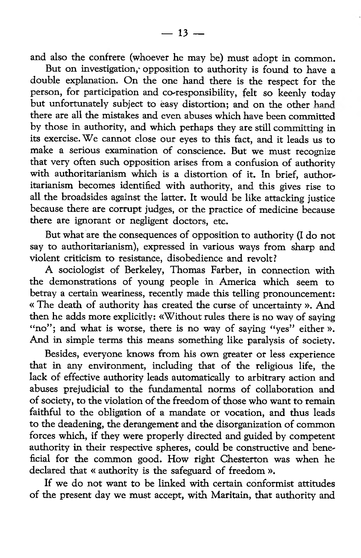and also the confrere (whoever he may be) must adopt in common.

But on investigation, opposition to authority is found to have a double explanation. On the one hand there is the respect for the person, for participation and co-responsibility, felt so keenly today but unfortunately subject to easy distortion; and on the other *hand* there are all the mistakes and even abuses which have been committed by those in authority, and which perhaps they are still committing in its exercise. We cannot close our eyes to this fact, and it leads us to make a serious examination of conscience. But we must recognize that very often such opposition arises from a confusion of authority with authoritarianism which is a distortion of it. In brief, authoritarianism becomes identified with authority, and this gives rise to all the broadsides against the latter. It would be like attacking justice because there are corrupt judges, or the practice of medicine because there are ignorant or negligent doctors, etc.

But what are the consequences of opposition to authority (I do not say to authoritarianism), expressed in various ways from sharp and violent criticism to resistance, disobedience and revolt?

A sociologist of Berkeley, Thomas Farber, in connection with the demonstrations of young people in America which seem to betray a certain weariness, recently made this telling pronouncement: « The death of authority has created the curse of uncertainty ». And then he adds more explicitly: «Without rules there is no way of saying "no"; and what is worse, there is no way of saying "yes" either ». And in simple terms this means something like paralysis of society.

Besides, everyone knows from his own greater or less experience that in any environment, including that of the religious life, the lack of effective authority leads automatically to arbitrary action and abuses prejudicial to the fundamental norms of collaboration and of society, to the violation of the freedom of those who want to remain faithful to the obligation of a mandate or vocation, and thus leads to the deadening, the derangement and the disorganization of common forces which, if they were properly directed and guided by competent authority in their respective spheres, could be constructive and beneficial for the common good. How right Chesterton was when he declared that « authority is the safeguard of freedom ».

If we do not want to be linked with certain conformist attitudes of the present day we must accept, with Maritain, that authority and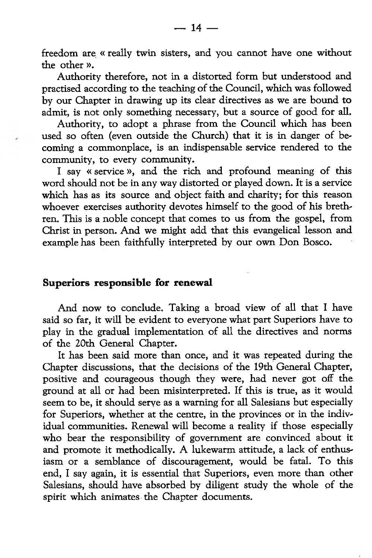freedom are « really twin sisters, and you cannot have one without the other ».

Authority therefore, not in a distorted form but understood and practised according to the teaching of the Council, which was followed by our Chapter in drawing up its clear directives as we are bound to admit, is not only something necessary, but a source of good for all.

Authority, to adopt a phrase from the Council which has been used so often (even outside the Church) that it is in danger of becoming a commonplace, is an indispensable service rendered to the community, to every community.

I say « service», and the rich and profound meaning of this word should not be in any way distorted or played down. It is a service which has as its source and object faith and charity; for this reason whoever exercises authority devotes himself to the good of his brethren. This is a noble concept that comes to us from the gospel, from Christ in person. And we might add that this evangelical lesson and example has been faithfully interpreted by our own Don Bosco.

#### Superiors responsible for renewal

And now to conclude. Taking a broad view of all that I have said so far, it will be evident to everyone what part Superiors have to play in the gradual implementation of all the directives and norms of the 20th General Chapter.

It has been said more than once, and it was repeated during the Chapter discussions, that the decisions of the 19th General Chapter, positive and courageous though they were, had never got off the ground at all or had been misinterpreted. If this is true, as it would seem to be, it should serve as a warning for all Salesians but especially for Superiors, whether at the centre, in the provinces or in the individual communities. Renewal will become a reality if those especially who bear the responsibility of government are convinced about it and promote it methodically. A lukewarm attitude, a lack of enthusiasm or a semblance of discouragement, would be fatal. To this end, I say again, it is essential that Superiors, even more than other Salesians, should have absorbed by diligent study the whole of the spirit which animates the Chapter documents.